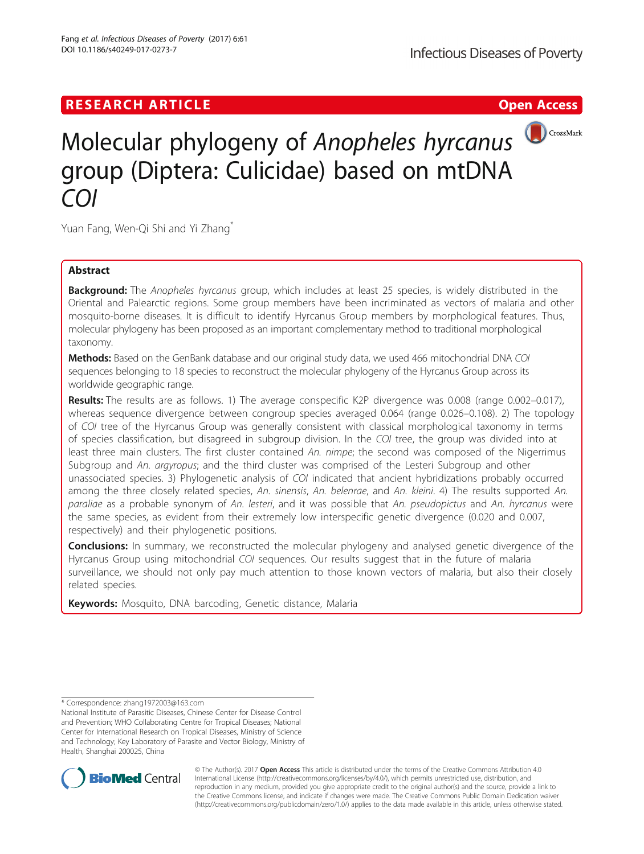## **RESEARCH ARTICLE Example 2018 12:30 THE Open Access**



# Molecular phylogeny of Anopheles hyrcanus group (Diptera: Culicidae) based on mtDNA COI

Yuan Fang, Wen-Qi Shi and Yi Zhang<sup>\*</sup>

## Abstract

Background: The Anopheles hyrcanus group, which includes at least 25 species, is widely distributed in the Oriental and Palearctic regions. Some group members have been incriminated as vectors of malaria and other mosquito-borne diseases. It is difficult to identify Hyrcanus Group members by morphological features. Thus, molecular phylogeny has been proposed as an important complementary method to traditional morphological taxonomy.

Methods: Based on the GenBank database and our original study data, we used 466 mitochondrial DNA COI sequences belonging to 18 species to reconstruct the molecular phylogeny of the Hyrcanus Group across its worldwide geographic range.

Results: The results are as follows. 1) The average conspecific K2P divergence was 0.008 (range 0.002–0.017), whereas sequence divergence between congroup species averaged 0.064 (range 0.026–0.108). 2) The topology of COI tree of the Hyrcanus Group was generally consistent with classical morphological taxonomy in terms of species classification, but disagreed in subgroup division. In the COI tree, the group was divided into at least three main clusters. The first cluster contained An. nimpe; the second was composed of the Nigerrimus Subgroup and An. argyropus; and the third cluster was comprised of the Lesteri Subgroup and other unassociated species. 3) Phylogenetic analysis of COI indicated that ancient hybridizations probably occurred among the three closely related species, An. sinensis, An. belenrae, and An. kleini. 4) The results supported An. paraliae as a probable synonym of An. lesteri, and it was possible that An. pseudopictus and An. hyrcanus were the same species, as evident from their extremely low interspecific genetic divergence (0.020 and 0.007, respectively) and their phylogenetic positions.

**Conclusions:** In summary, we reconstructed the molecular phylogeny and analysed genetic divergence of the Hyrcanus Group using mitochondrial COI sequences. Our results suggest that in the future of malaria surveillance, we should not only pay much attention to those known vectors of malaria, but also their closely related species.

Keywords: Mosquito, DNA barcoding, Genetic distance, Malaria

\* Correspondence: [zhang1972003@163.com](mailto:zhang1972003@163.com)

National Institute of Parasitic Diseases, Chinese Center for Disease Control and Prevention; WHO Collaborating Centre for Tropical Diseases; National Center for International Research on Tropical Diseases, Ministry of Science and Technology; Key Laboratory of Parasite and Vector Biology, Ministry of Health, Shanghai 200025, China



© The Author(s). 2017 **Open Access** This article is distributed under the terms of the Creative Commons Attribution 4.0 International License [\(http://creativecommons.org/licenses/by/4.0/](http://creativecommons.org/licenses/by/4.0/)), which permits unrestricted use, distribution, and reproduction in any medium, provided you give appropriate credit to the original author(s) and the source, provide a link to the Creative Commons license, and indicate if changes were made. The Creative Commons Public Domain Dedication waiver [\(http://creativecommons.org/publicdomain/zero/1.0/](http://creativecommons.org/publicdomain/zero/1.0/)) applies to the data made available in this article, unless otherwise stated.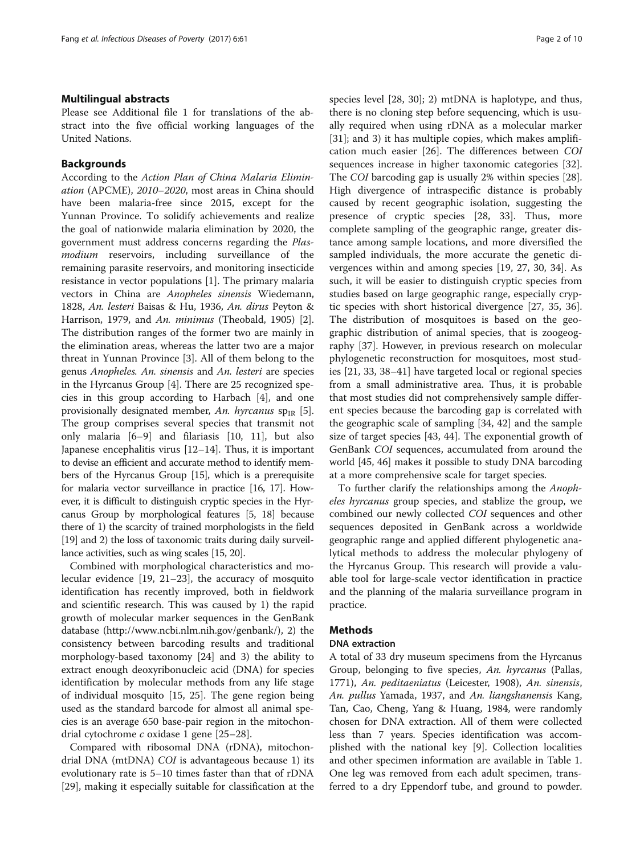## Multilingual abstracts

Please see Additional file [1](#page-7-0) for translations of the abstract into the five official working languages of the United Nations.

## Backgrounds

According to the Action Plan of China Malaria Elimination (APCME), 2010–2020, most areas in China should have been malaria-free since 2015, except for the Yunnan Province. To solidify achievements and realize the goal of nationwide malaria elimination by 2020, the government must address concerns regarding the Plasmodium reservoirs, including surveillance of the remaining parasite reservoirs, and monitoring insecticide resistance in vector populations [[1\]](#page-8-0). The primary malaria vectors in China are Anopheles sinensis Wiedemann, 1828, An. lesteri Baisas & Hu, 1936, An. dirus Peyton & Harrison, 1979, and An. minimus (Theobald, 1905) [\[2](#page-8-0)]. The distribution ranges of the former two are mainly in the elimination areas, whereas the latter two are a major threat in Yunnan Province [\[3\]](#page-8-0). All of them belong to the genus Anopheles. An. sinensis and An. lesteri are species in the Hyrcanus Group [[4\]](#page-8-0). There are 25 recognized species in this group according to Harbach [\[4](#page-8-0)], and one provisionally designated member, An. hyrcanus  $sp_{IR}$  [\[5](#page-8-0)]. The group comprises several species that transmit not only malaria [[6](#page-8-0)–[9](#page-8-0)] and filariasis [[10, 11\]](#page-8-0), but also Japanese encephalitis virus [\[12](#page-8-0)–[14\]](#page-8-0). Thus, it is important to devise an efficient and accurate method to identify members of the Hyrcanus Group [[15](#page-8-0)], which is a prerequisite for malaria vector surveillance in practice [[16](#page-8-0), [17\]](#page-8-0). However, it is difficult to distinguish cryptic species in the Hyrcanus Group by morphological features [\[5, 18\]](#page-8-0) because there of 1) the scarcity of trained morphologists in the field [[19](#page-8-0)] and 2) the loss of taxonomic traits during daily surveillance activities, such as wing scales [\[15, 20\]](#page-8-0).

Combined with morphological characteristics and molecular evidence [\[19](#page-8-0), [21](#page-8-0)–[23](#page-8-0)], the accuracy of mosquito identification has recently improved, both in fieldwork and scientific research. This was caused by 1) the rapid growth of molecular marker sequences in the GenBank database ([http://www.ncbi.nlm.nih.gov/genbank/\)](http://www.ncbi.nlm.nih.gov/genbank/), 2) the consistency between barcoding results and traditional morphology-based taxonomy [[24](#page-8-0)] and 3) the ability to extract enough deoxyribonucleic acid (DNA) for species identification by molecular methods from any life stage of individual mosquito [\[15](#page-8-0), [25](#page-8-0)]. The gene region being used as the standard barcode for almost all animal species is an average 650 base-pair region in the mitochondrial cytochrome c oxidase 1 gene [\[25](#page-8-0)–[28\]](#page-8-0).

Compared with ribosomal DNA (rDNA), mitochondrial DNA (mtDNA) COI is advantageous because 1) its evolutionary rate is 5–10 times faster than that of rDNA [[29\]](#page-8-0), making it especially suitable for classification at the species level [\[28, 30\]](#page-8-0); 2) mtDNA is haplotype, and thus, there is no cloning step before sequencing, which is usually required when using rDNA as a molecular marker [[31\]](#page-8-0); and 3) it has multiple copies, which makes amplification much easier [[26\]](#page-8-0). The differences between COI sequences increase in higher taxonomic categories [\[32](#page-8-0)]. The COI barcoding gap is usually 2% within species [\[28](#page-8-0)]. High divergence of intraspecific distance is probably caused by recent geographic isolation, suggesting the presence of cryptic species [[28](#page-8-0), [33\]](#page-8-0). Thus, more complete sampling of the geographic range, greater distance among sample locations, and more diversified the sampled individuals, the more accurate the genetic divergences within and among species [[19](#page-8-0), [27, 30](#page-8-0), [34\]](#page-8-0). As such, it will be easier to distinguish cryptic species from studies based on large geographic range, especially cryptic species with short historical divergence [\[27](#page-8-0), [35](#page-8-0), [36](#page-8-0)]. The distribution of mosquitoes is based on the geographic distribution of animal species, that is zoogeography [[37\]](#page-8-0). However, in previous research on molecular phylogenetic reconstruction for mosquitoes, most studies [[21](#page-8-0), [33](#page-8-0), [38](#page-9-0)–[41\]](#page-9-0) have targeted local or regional species from a small administrative area. Thus, it is probable that most studies did not comprehensively sample different species because the barcoding gap is correlated with the geographic scale of sampling [[34,](#page-8-0) [42\]](#page-9-0) and the sample size of target species [[43](#page-9-0), [44](#page-9-0)]. The exponential growth of GenBank COI sequences, accumulated from around the world [\[45, 46\]](#page-9-0) makes it possible to study DNA barcoding at a more comprehensive scale for target species.

To further clarify the relationships among the Anopheles hyrcanus group species, and stablize the group, we combined our newly collected COI sequences and other sequences deposited in GenBank across a worldwide geographic range and applied different phylogenetic analytical methods to address the molecular phylogeny of the Hyrcanus Group. This research will provide a valuable tool for large-scale vector identification in practice and the planning of the malaria surveillance program in practice.

## **Methods**

## DNA extraction

A total of 33 dry museum specimens from the Hyrcanus Group, belonging to five species, An. hyrcanus (Pallas, 1771), An. peditaeniatus (Leicester, 1908), An. sinensis, An. pullus Yamada, 1937, and An. liangshanensis Kang, Tan, Cao, Cheng, Yang & Huang, 1984, were randomly chosen for DNA extraction. All of them were collected less than 7 years. Species identification was accomplished with the national key [\[9](#page-8-0)]. Collection localities and other specimen information are available in Table [1](#page-2-0). One leg was removed from each adult specimen, transferred to a dry Eppendorf tube, and ground to powder.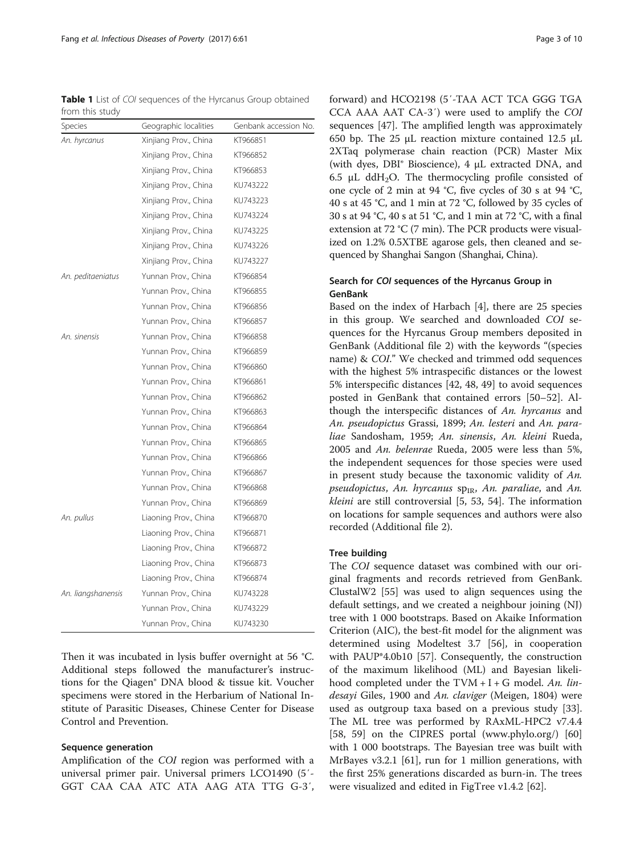## Tree building

The COI sequence dataset was combined with our original fragments and records retrieved from GenBank. ClustalW2 [[55\]](#page-9-0) was used to align sequences using the default settings, and we created a neighbour joining (NJ) tree with 1 000 bootstraps. Based on Akaike Information Criterion (AIC), the best-fit model for the alignment was determined using Modeltest 3.7 [\[56](#page-9-0)], in cooperation with PAUP\*4.0b10 [[57\]](#page-9-0). Consequently, the construction of the maximum likelihood (ML) and Bayesian likelihood completed under the TVM  $+$  I  $+$  G model. An. lindesayi Giles, 1900 and An. claviger (Meigen, 1804) were used as outgroup taxa based on a previous study [\[33](#page-8-0)]. The ML tree was performed by RAxML-HPC2 v7.4.4 [[58, 59](#page-9-0)] on the CIPRES portal [\(www.phylo.org/\)](http://www.phylo.org/) [[60](#page-9-0)] with 1 000 bootstraps. The Bayesian tree was built with MrBayes v3.2.1 [\[61](#page-9-0)], run for 1 million generations, with the first 25% generations discarded as burn-in. The trees were visualized and edited in FigTree v1.4.2 [\[62](#page-9-0)].

<span id="page-2-0"></span>Table 1 List of COI sequences of the Hyrcanus Group obtained from this study

| Species            | Geographic localities | Genbank accession No. |
|--------------------|-----------------------|-----------------------|
| An. hyrcanus       | Xinjiang Prov., China | KT966851              |
|                    | Xinjiang Prov., China | KT966852              |
|                    | Xinjiang Prov., China | KT966853              |
|                    | Xinjiang Prov., China | KU743222              |
|                    | Xinjiang Prov., China | KU743223              |
|                    | Xinjiang Prov., China | KU743224              |
|                    | Xinjiang Prov., China | KU743225              |
|                    | Xinjiang Prov., China | KU743226              |
|                    | Xinjiang Prov., China | KU743227              |
| An. peditaeniatus  | Yunnan Prov., China   | KT966854              |
|                    | Yunnan Prov., China   | KT966855              |
|                    | Yunnan Prov., China   | KT966856              |
|                    | Yunnan Prov., China   | KT966857              |
| An. sinensis       | Yunnan Prov., China   | KT966858              |
|                    | Yunnan Prov., China   | KT966859              |
|                    | Yunnan Prov., China   | KT966860              |
|                    | Yunnan Prov., China   | KT966861              |
|                    | Yunnan Prov., China   | KT966862              |
|                    | Yunnan Prov China     | KT966863              |
|                    | Yunnan Prov., China   | KT966864              |
|                    | Yunnan Prov., China   | KT966865              |
|                    | Yunnan Prov., China   | KT966866              |
|                    | Yunnan Prov., China   | KT966867              |
|                    | Yunnan Prov., China   | KT966868              |
|                    | Yunnan Prov., China   | KT966869              |
| An. pullus         | Liaoning Prov., China | KT966870              |
|                    | Liaoning Prov., China | KT966871              |
|                    | Liaoning Prov., China | KT966872              |
|                    | Liaoning Prov., China | KT966873              |
|                    | Liaoning Prov., China | KT966874              |
| An. liangshanensis | Yunnan Prov., China   | KU743228              |
|                    | Yunnan Prov., China   | KU743229              |
|                    | Yunnan Prov., China   | KU743230              |

Then it was incubated in lysis buffer overnight at 56 °C. Additional steps followed the manufacturer's instructions for the Qiagen® DNA blood & tissue kit. Voucher specimens were stored in the Herbarium of National Institute of Parasitic Diseases, Chinese Center for Disease Control and Prevention.

## Sequence generation

Amplification of the COI region was performed with a universal primer pair. Universal primers LCO1490 (5′- GGT CAA CAA ATC ATA AAG ATA TTG G-3′,

forward) and HCO2198 (5′-TAA ACT TCA GGG TGA CCA AAA AAT CA-3′) were used to amplify the COI sequences [[47](#page-9-0)]. The amplified length was approximately 650 bp. The 25 μL reaction mixture contained 12.5 μL 2XTaq polymerase chain reaction (PCR) Master Mix (with dyes, DBI® Bioscience), 4 μL extracted DNA, and 6.5  $\mu$ L ddH<sub>2</sub>O. The thermocycling profile consisted of one cycle of 2 min at 94 °C, five cycles of 30 s at 94 °C, 40 s at 45 °C, and 1 min at 72 °C, followed by 35 cycles of 30 s at 94 °C, 40 s at 51 °C, and 1 min at 72 °C, with a final extension at 72 °C (7 min). The PCR products were visualized on 1.2% 0.5XTBE agarose gels, then cleaned and sequenced by Shanghai Sangon (Shanghai, China).

## Search for COI sequences of the Hyrcanus Group in GenBank

Based on the index of Harbach [\[4\]](#page-8-0), there are 25 species in this group. We searched and downloaded COI sequences for the Hyrcanus Group members deposited in GenBank (Additional file [2\)](#page-7-0) with the keywords "(species name) & COI." We checked and trimmed odd sequences with the highest 5% intraspecific distances or the lowest 5% interspecific distances [\[42](#page-9-0), [48](#page-9-0), [49](#page-9-0)] to avoid sequences posted in GenBank that contained errors [[50](#page-9-0)–[52](#page-9-0)]. Although the interspecific distances of An. hyrcanus and An. pseudopictus Grassi, 1899; An. lesteri and An. paraliae Sandosham, 1959; An. sinensis, An. kleini Rueda, 2005 and An. belenrae Rueda, 2005 were less than 5%, the independent sequences for those species were used in present study because the taxonomic validity of An. pseudopictus, An. hyrcanus  $sp_{IR}$ , An. paraliae, and An. kleini are still controversial [[5,](#page-8-0) [53](#page-9-0), [54](#page-9-0)]. The information on locations for sample sequences and authors were also recorded (Additional file [2](#page-7-0)).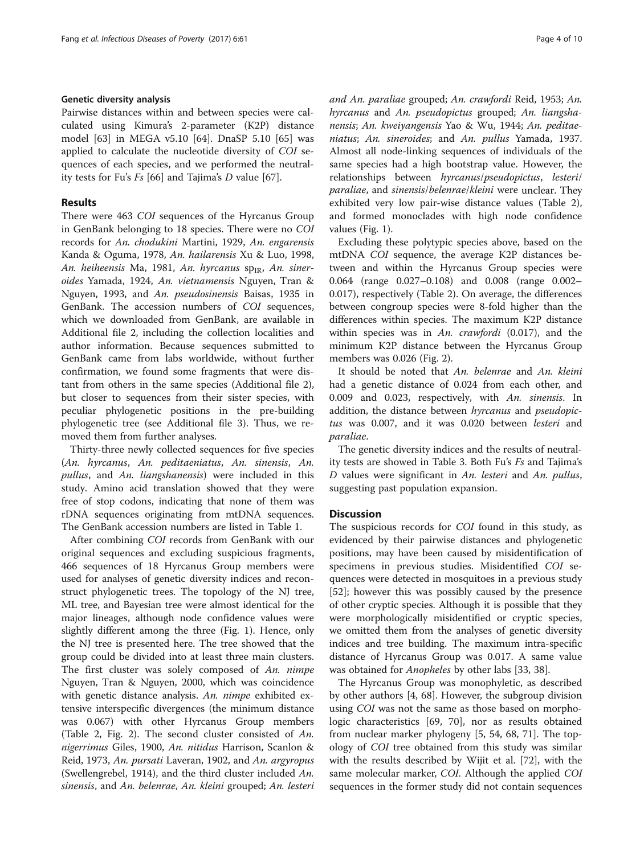## Genetic diversity analysis

Pairwise distances within and between species were calculated using Kimura's 2-parameter (K2P) distance model [[63\]](#page-9-0) in MEGA v5.10 [[64\]](#page-9-0). DnaSP 5.10 [[65\]](#page-9-0) was applied to calculate the nucleotide diversity of COI sequences of each species, and we performed the neutrality tests for Fu's Fs [[66\]](#page-9-0) and Tajima's D value [[67](#page-9-0)].

## Results

There were 463 COI sequences of the Hyrcanus Group in GenBank belonging to 18 species. There were no COI records for An. chodukini Martini, 1929, An. engarensis Kanda & Oguma, 1978, An. hailarensis Xu & Luo, 1998, An. heiheensis Ma, 1981, An. hyrcanus  $sp_{IR}$ , An. sineroides Yamada, 1924, An. vietnamensis Nguyen, Tran & Nguyen, 1993, and An. pseudosinensis Baisas, 1935 in GenBank. The accession numbers of COI sequences, which we downloaded from GenBank, are available in Additional file [2,](#page-7-0) including the collection localities and author information. Because sequences submitted to GenBank came from labs worldwide, without further confirmation, we found some fragments that were distant from others in the same species (Additional file [2](#page-7-0)), but closer to sequences from their sister species, with peculiar phylogenetic positions in the pre-building phylogenetic tree (see Additional file [3\)](#page-7-0). Thus, we removed them from further analyses.

Thirty-three newly collected sequences for five species (An. hyrcanus, An. peditaeniatus, An. sinensis, An. pullus, and An. liangshanensis) were included in this study. Amino acid translation showed that they were free of stop codons, indicating that none of them was rDNA sequences originating from mtDNA sequences. The GenBank accession numbers are listed in Table [1](#page-2-0).

After combining COI records from GenBank with our original sequences and excluding suspicious fragments, 466 sequences of 18 Hyrcanus Group members were used for analyses of genetic diversity indices and reconstruct phylogenetic trees. The topology of the NJ tree, ML tree, and Bayesian tree were almost identical for the major lineages, although node confidence values were slightly different among the three (Fig. [1\)](#page-4-0). Hence, only the NJ tree is presented here. The tree showed that the group could be divided into at least three main clusters. The first cluster was solely composed of An. nimpe Nguyen, Tran & Nguyen, 2000, which was coincidence with genetic distance analysis. An. nimpe exhibited extensive interspecific divergences (the minimum distance was 0.067) with other Hyrcanus Group members (Table [2,](#page-5-0) Fig. [2\)](#page-6-0). The second cluster consisted of An. nigerrimus Giles, 1900, An. nitidus Harrison, Scanlon & Reid, 1973, An. pursati Laveran, 1902, and An. argyropus (Swellengrebel, 1914), and the third cluster included  $An$ . sinensis, and An. belenrae, An. kleini grouped; An. lesteri and An. paraliae grouped; An. crawfordi Reid, 1953; An. hyrcanus and An. pseudopictus grouped; An. liangshanensis; An. kweiyangensis Yao & Wu, 1944; An. peditaeniatus; An. sineroides; and An. pullus Yamada, 1937. Almost all node-linking sequences of individuals of the same species had a high bootstrap value. However, the relationships between hyrcanus/pseudopictus, lesteri/ paraliae, and sinensis/belenrae/kleini were unclear. They exhibited very low pair-wise distance values (Table [2](#page-5-0)), and formed monoclades with high node confidence values (Fig. [1](#page-4-0)).

Excluding these polytypic species above, based on the mtDNA COI sequence, the average K2P distances between and within the Hyrcanus Group species were 0.064 (range 0.027–0.108) and 0.008 (range 0.002– 0.017), respectively (Table [2\)](#page-5-0). On average, the differences between congroup species were 8-fold higher than the differences within species. The maximum K2P distance within species was in An. crawfordi (0.017), and the minimum K2P distance between the Hyrcanus Group members was 0.026 (Fig. [2\)](#page-6-0).

It should be noted that An. belenrae and An. kleini had a genetic distance of 0.024 from each other, and 0.009 and 0.023, respectively, with An. sinensis. In addition, the distance between hyrcanus and pseudopictus was 0.007, and it was 0.020 between lesteri and paraliae.

The genetic diversity indices and the results of neutrality tests are showed in Table [3.](#page-6-0) Both Fu's Fs and Tajima's D values were significant in An. lesteri and An. pullus, suggesting past population expansion.

## **Discussion**

The suspicious records for COI found in this study, as evidenced by their pairwise distances and phylogenetic positions, may have been caused by misidentification of specimens in previous studies. Misidentified COI sequences were detected in mosquitoes in a previous study [[52\]](#page-9-0); however this was possibly caused by the presence of other cryptic species. Although it is possible that they were morphologically misidentified or cryptic species, we omitted them from the analyses of genetic diversity indices and tree building. The maximum intra-specific distance of Hyrcanus Group was 0.017. A same value was obtained for Anopheles by other labs [[33,](#page-8-0) [38\]](#page-9-0).

The Hyrcanus Group was monophyletic, as described by other authors [[4](#page-8-0), [68\]](#page-9-0). However, the subgroup division using COI was not the same as those based on morphologic characteristics [\[69, 70\]](#page-9-0), nor as results obtained from nuclear marker phylogeny [\[5](#page-8-0), [54, 68, 71](#page-9-0)]. The topology of COI tree obtained from this study was similar with the results described by Wijit et al. [\[72](#page-9-0)], with the same molecular marker, COI. Although the applied COI sequences in the former study did not contain sequences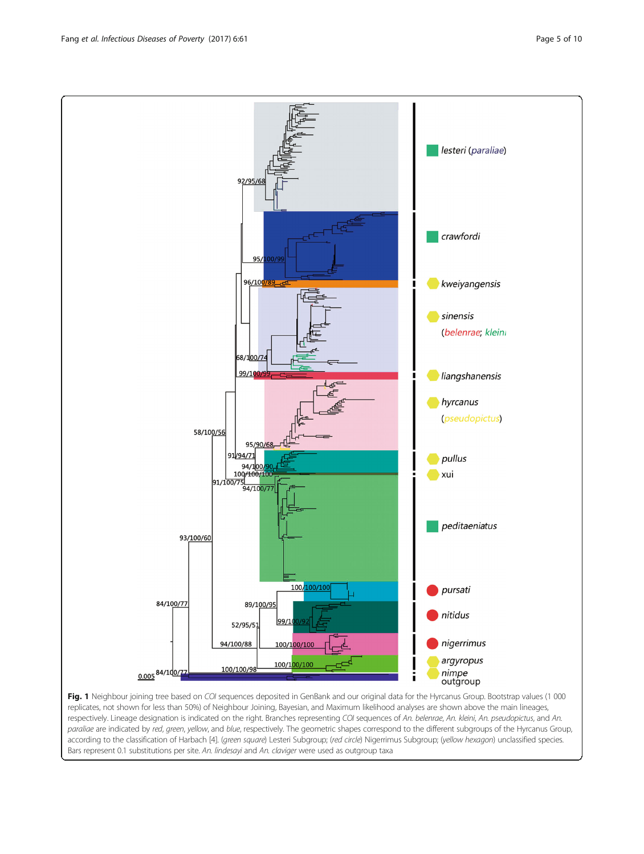Fig. 1 Neighbour joining tree based on COI sequences deposited in GenBank and our original data for the Hyrcanus Group. Bootstrap values (1 000 replicates, not shown for less than 50%) of Neighbour Joining, Bayesian, and Maximum likelihood analyses are shown above the main lineages, respectively. Lineage designation is indicated on the right. Branches representing COI sequences of An. belenrae, An. kleini, An. pseudopictus, and An. paraliae are indicated by red, green, yellow, and blue, respectively. The geometric shapes correspond to the different subgroups of the Hyrcanus Group, according to the classification of Harbach [\[4](#page-8-0)]. (green square) Lesteri Subgroup; (red circle) Nigerrimus Subgroup; (yellow hexagon) unclassified species. Bars represent 0.1 substitutions per site. An. lindesayi and An. claviger were used as outgroup taxa

argyropus

nimpe<br>outgroup

ī

<span id="page-4-0"></span>

nigerrimus 94/100/88 100/100/100

100/1<mark>00/100</mark>

100/100/98

0.005 84/100/7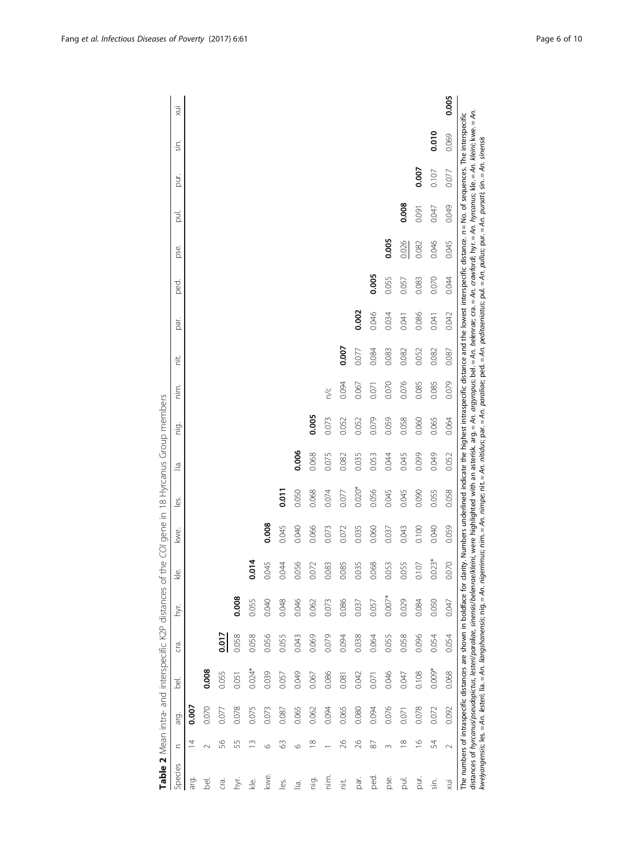<span id="page-5-0"></span>

|                |                         |       |                                                                                                                                                                                                               |       |          |                | Table 2 Mean intra- and interspecific K2P distances of the COI gene in 18 Hyrcanus Group members                                                                                                                                                                                                                                                                                                                                                          |              |       |          |       |       |       |       |       |       |       |       |       |
|----------------|-------------------------|-------|---------------------------------------------------------------------------------------------------------------------------------------------------------------------------------------------------------------|-------|----------|----------------|-----------------------------------------------------------------------------------------------------------------------------------------------------------------------------------------------------------------------------------------------------------------------------------------------------------------------------------------------------------------------------------------------------------------------------------------------------------|--------------|-------|----------|-------|-------|-------|-------|-------|-------|-------|-------|-------|
| Species        | $\subset$               | arg.  | <u>aj</u>                                                                                                                                                                                                     | G.    | hyr.     | kle.           | kwe.                                                                                                                                                                                                                                                                                                                                                                                                                                                      | فا<br>ا      | .⊴ં   | ig.<br>E | nim.  | ÷.    | isa   | ped.  | pse.  | ā     | pur.  | Sin.  | хij   |
| ārg.           | ₫                       | 0.007 |                                                                                                                                                                                                               |       |          |                |                                                                                                                                                                                                                                                                                                                                                                                                                                                           |              |       |          |       |       |       |       |       |       |       |       |       |
| <u>bel</u>     |                         | 0.070 | 0.008                                                                                                                                                                                                         |       |          |                |                                                                                                                                                                                                                                                                                                                                                                                                                                                           |              |       |          |       |       |       |       |       |       |       |       |       |
| crai           | S6                      | 0.077 | 0.055                                                                                                                                                                                                         |       |          |                |                                                                                                                                                                                                                                                                                                                                                                                                                                                           |              |       |          |       |       |       |       |       |       |       |       |       |
| Ĕ              | 55                      | 0.078 | 0.051                                                                                                                                                                                                         | 0.058 | 0.008    |                |                                                                                                                                                                                                                                                                                                                                                                                                                                                           |              |       |          |       |       |       |       |       |       |       |       |       |
| i<br>≪         | ≅                       | 0.075 | $0.024*$                                                                                                                                                                                                      | 0.058 | 0.055    | 5 <sup>1</sup> |                                                                                                                                                                                                                                                                                                                                                                                                                                                           |              |       |          |       |       |       |       |       |       |       |       |       |
| kwe.           | G                       | 0.073 | 0.039                                                                                                                                                                                                         | 0.056 | 0.040    | ,045           | 0.008                                                                                                                                                                                                                                                                                                                                                                                                                                                     |              |       |          |       |       |       |       |       |       |       |       |       |
| Lés.           | 3                       | 0.087 | 0.057                                                                                                                                                                                                         | 0.055 | 0.048    | 044            | 0.045                                                                                                                                                                                                                                                                                                                                                                                                                                                     | <b>D.O.T</b> |       |          |       |       |       |       |       |       |       |       |       |
| lā.            | O                       | 0.065 | 0.049                                                                                                                                                                                                         | 0.043 | 0.046    | .056           | 0.040                                                                                                                                                                                                                                                                                                                                                                                                                                                     | 0.050        | 0.006 |          |       |       |       |       |       |       |       |       |       |
| nig.           | $\infty$                | 0.062 | 0.067                                                                                                                                                                                                         | 0.069 | 0.062    | 072            | 0.066                                                                                                                                                                                                                                                                                                                                                                                                                                                     | 0.068        | 0.068 | 0.005    |       |       |       |       |       |       |       |       |       |
| min            |                         | 0.094 | 0.086                                                                                                                                                                                                         | 0.079 | 0.073    | .083           | 0.073                                                                                                                                                                                                                                                                                                                                                                                                                                                     | 0.074        | 0.075 | 0.073    | n/c   |       |       |       |       |       |       |       |       |
| πË.            | 26                      | 0.065 | 0.081                                                                                                                                                                                                         | 0.094 | 0.086    | .085           | 0.072                                                                                                                                                                                                                                                                                                                                                                                                                                                     | 0.077        | 0.082 | 0.052    | 0.094 | 0.007 |       |       |       |       |       |       |       |
| par.           | 26                      | 0.080 | 0.042                                                                                                                                                                                                         | 0.038 | 0.037    | 035            | 0.035                                                                                                                                                                                                                                                                                                                                                                                                                                                     | $0.020*$     | 0.035 | 0.052    | 0.067 | 0.077 | 0.002 |       |       |       |       |       |       |
| ped.           | ळ                       | 0.094 | 0.071                                                                                                                                                                                                         | 0.064 | 0.057    | .068           | 0.060                                                                                                                                                                                                                                                                                                                                                                                                                                                     | 0.056        | 0.053 | 0.079    | 0.071 | 0.084 | 0.046 | 0.005 |       |       |       |       |       |
| pse.           | $\sim$                  | 0.076 | 0.046                                                                                                                                                                                                         | 0.055 | $0.007*$ | .053           | 0.037                                                                                                                                                                                                                                                                                                                                                                                                                                                     | 0.045        | 0.044 | 0.059    | 0.070 | 0.083 | 0.034 | 0.055 | 0.005 |       |       |       |       |
| $\overline{a}$ | $\frac{\infty}{\infty}$ | 0.071 | 0.047                                                                                                                                                                                                         | 0.058 | 0.029    | .055           | 0.043                                                                                                                                                                                                                                                                                                                                                                                                                                                     | 0.045        | 0.045 | 0.058    | 0.076 | 0.082 | 0.041 | 0.057 | 0.026 | 0.008 |       |       |       |
| JIro           | $\overline{9}$          | 0.078 | 0.108                                                                                                                                                                                                         | 0.096 | 0.084    | $-107$         | 0.100                                                                                                                                                                                                                                                                                                                                                                                                                                                     | 0.090        | 0.099 | 0.060    | 0.085 | 0.052 | 0.086 | 0.083 | 0.082 | 0.091 | 0.007 |       |       |
| sin.           | 54                      | 0.072 | $0.009*$                                                                                                                                                                                                      | 0.054 | 0.050    | $0.023*$       | 0.040                                                                                                                                                                                                                                                                                                                                                                                                                                                     | 0.055        | 0.049 | 0.065    | 0.085 | 0.082 | 0.041 | 0.070 | 0.046 | 0.047 | 0.107 | 0.010 |       |
| ХÜ             | $\sim$                  | 0.092 | 0.068                                                                                                                                                                                                         | 0.054 | 0.047    | 0.070          | 0.059                                                                                                                                                                                                                                                                                                                                                                                                                                                     | 0.058        | 0.052 | 0.064    | 0.079 | 0.087 | 0.042 | 0.044 | 0.045 | 0.049 | 0.077 | 0.069 | 0.005 |
|                |                         |       | kweiyangensis, les. = An. lesteri; lia. = An. liangshanensis; nig. = An. nigeriimus; nim, = An. niit, = An. niidus; par. = An. padia en. padia en. pal. = An. pullus; pur. = An. pursati; sin. = An. sinensis |       |          |                | distances of hyrcanus/pseudopictus, lesteri/paraliae, sinensis/belenrae/kleini, were highlighted with an asterisk. arg.= An. argyropus; bel.= An. belenrae; cra.= An. crawfordi; hyr.= An. hyrcanus; kle.= An. kleini; kwe.= A<br>The numbers of intraspecific distances are shown in boldface for clarity. Numbers underlined indicate the highest intraspecific alistance and the lowest interspecific distance. n= No. of sequences. The interspecific |              |       |          |       |       |       |       |       |       |       |       |       |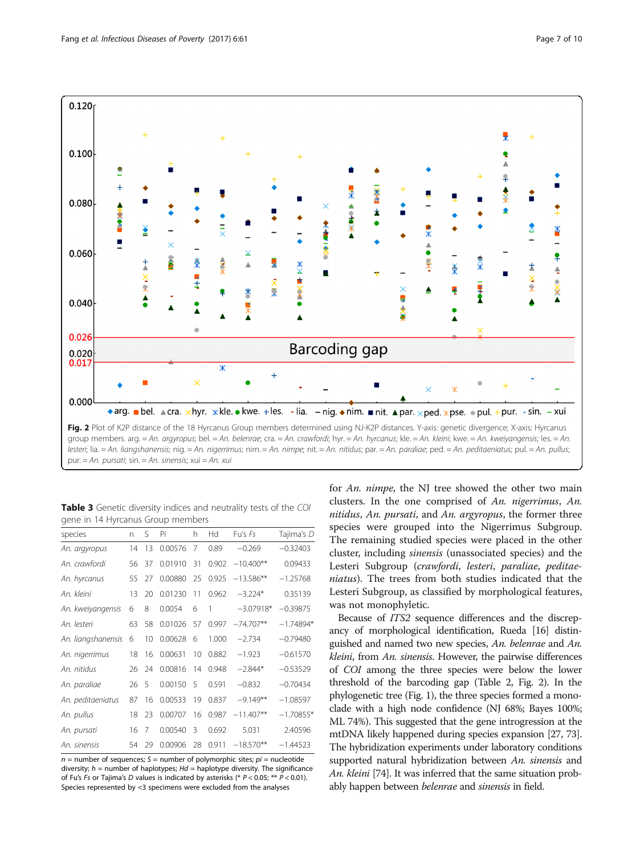<span id="page-6-0"></span>

Table 3 Genetic diversity indices and neutrality tests of the COI gene in 14 Hyrcanus Group members

| species            | n  | S. | Pi      | h  | Hd    | Fu's Es     | Tajima's D  |
|--------------------|----|----|---------|----|-------|-------------|-------------|
| An. argyropus      | 14 | 13 | 0.00576 | 7  | 0.89  | $-0.269$    | $-0.32403$  |
| An. crawfordi      | 56 | 37 | 0.01910 | 31 | 0.902 | $-10.400**$ | 0.09433     |
| An. hyrcanus       | 55 | 27 | 0.00880 | 25 | 0.925 | $-13.586**$ | $-1.25768$  |
| An. kleini         | 13 | 20 | 0.01230 | 11 | 0.962 | $-3.224*$   | 0.35139     |
| An. kweiyangensis  | 6  | 8  | 0.0054  | 6  | 1     | $-3.07918*$ | $-0.39875$  |
| An. lesteri        | 63 | 58 | 0.01026 | 57 | 0.997 | $-74.707**$ | $-1.74894*$ |
| An. liangshanensis | 6  | 10 | 0.00628 | 6  | 1.000 | $-2.734$    | $-0.79480$  |
| An. nigerrimus     | 18 | 16 | 0.00631 | 10 | 0.882 | $-1.923$    | $-0.61570$  |
| An. nitidus        | 26 | 24 | 0.00816 | 14 | 0.948 | $-2.844*$   | $-0.53529$  |
| An. paraliae       | 26 | 5  | 0.00150 | 5  | 0.591 | $-0.832$    | $-0.70434$  |
| An. peditaeniatus  | 87 | 16 | 0.00533 | 19 | 0.837 | $-9.149**$  | $-1.08597$  |
| An. pullus         | 18 | 23 | 0.00707 | 16 | 0.987 | $-11.407**$ | $-1.70855*$ |
| An. pursati        | 16 | 7  | 0.00540 | 3  | 0.692 | 5.031       | 2.40596     |
| An. sinensis       | 54 | 29 | 0.00906 | 28 | 0.911 | $-18.570**$ | $-1.44523$  |

 $n =$  number of sequences;  $S =$  number of polymorphic sites;  $pi =$  nucleotide diversity;  $h =$  number of haplotypes;  $Hd =$  haplotype diversity. The significance of Fu's Fs or Tajima's D values is indicated by asterisks (\*  $P < 0.05$ ; \*\*  $P < 0.01$ ). Species represented by <3 specimens were excluded from the analyses

for An. nimpe, the NJ tree showed the other two main clusters. In the one comprised of An. nigerrimus, An. nitidus, An. pursati, and An. argyropus, the former three species were grouped into the Nigerrimus Subgroup. The remaining studied species were placed in the other cluster, including sinensis (unassociated species) and the Lesteri Subgroup (crawfordi, lesteri, paraliae, peditaeniatus). The trees from both studies indicated that the Lesteri Subgroup, as classified by morphological features, was not monophyletic.

Because of ITS2 sequence differences and the discrepancy of morphological identification, Rueda [\[16\]](#page-8-0) distinguished and named two new species, An. belenrae and An. kleini, from An. sinensis. However, the pairwise differences of COI among the three species were below the lower threshold of the barcoding gap (Table [2,](#page-5-0) Fig. 2). In the phylogenetic tree (Fig. [1\)](#page-4-0), the three species formed a monoclade with a high node confidence (NJ 68%; Bayes 100%; ML 74%). This suggested that the gene introgression at the mtDNA likely happened during species expansion [\[27,](#page-8-0) [73](#page-9-0)]. The hybridization experiments under laboratory conditions supported natural hybridization between An. sinensis and An. kleini [[74](#page-9-0)]. It was inferred that the same situation probably happen between *belenrae* and *sinensis* in field.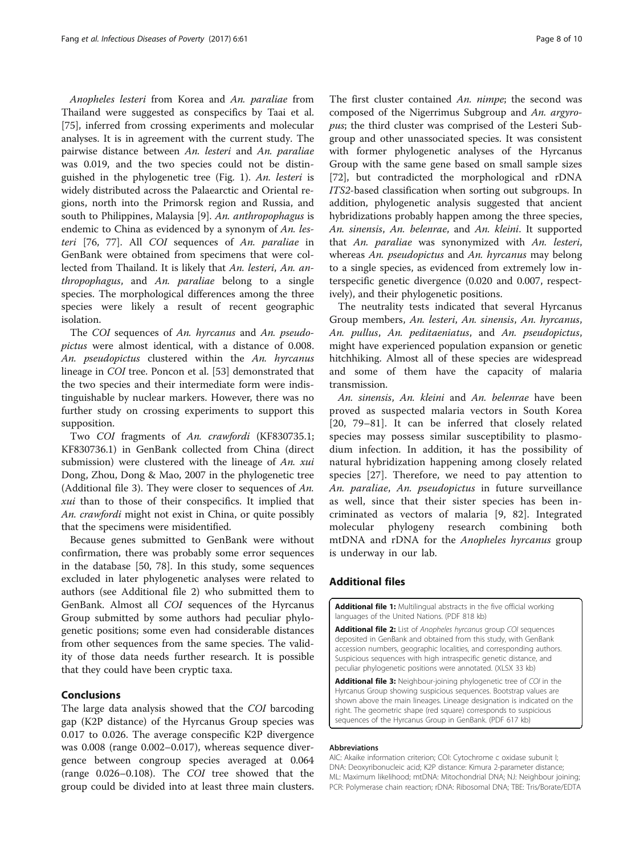<span id="page-7-0"></span>Anopheles lesteri from Korea and An. paraliae from Thailand were suggested as conspecifics by Taai et al. [[75\]](#page-9-0), inferred from crossing experiments and molecular analyses. It is in agreement with the current study. The pairwise distance between An. lesteri and An. paraliae was 0.019, and the two species could not be distinguished in the phylogenetic tree (Fig. [1\)](#page-4-0). An. lesteri is widely distributed across the Palaearctic and Oriental regions, north into the Primorsk region and Russia, and south to Philippines, Malaysia [[9\]](#page-8-0). An. anthropophagus is endemic to China as evidenced by a synonym of An. lesteri [[76, 77\]](#page-9-0). All COI sequences of An. paraliae in GenBank were obtained from specimens that were collected from Thailand. It is likely that An. lesteri, An. anthropophagus, and An. paraliae belong to a single species. The morphological differences among the three species were likely a result of recent geographic isolation.

The COI sequences of An. hyrcanus and An. pseudopictus were almost identical, with a distance of 0.008. An. pseudopictus clustered within the An. hyrcanus lineage in COI tree. Poncon et al. [\[53](#page-9-0)] demonstrated that the two species and their intermediate form were indistinguishable by nuclear markers. However, there was no further study on crossing experiments to support this supposition.

Two COI fragments of An. crawfordi (KF830735.1; KF830736.1) in GenBank collected from China (direct submission) were clustered with the lineage of An. xui Dong, Zhou, Dong & Mao, 2007 in the phylogenetic tree (Additional file 3). They were closer to sequences of An. xui than to those of their conspecifics. It implied that An. crawfordi might not exist in China, or quite possibly that the specimens were misidentified.

Because genes submitted to GenBank were without confirmation, there was probably some error sequences in the database [\[50](#page-9-0), [78](#page-9-0)]. In this study, some sequences excluded in later phylogenetic analyses were related to authors (see Additional file 2) who submitted them to GenBank. Almost all COI sequences of the Hyrcanus Group submitted by some authors had peculiar phylogenetic positions; some even had considerable distances from other sequences from the same species. The validity of those data needs further research. It is possible that they could have been cryptic taxa.

## Conclusions

The large data analysis showed that the COI barcoding gap (K2P distance) of the Hyrcanus Group species was 0.017 to 0.026. The average conspecific K2P divergence was 0.008 (range 0.002–0.017), whereas sequence divergence between congroup species averaged at 0.064 (range 0.026–0.108). The COI tree showed that the group could be divided into at least three main clusters.

The first cluster contained An. nimpe; the second was composed of the Nigerrimus Subgroup and An. argyropus; the third cluster was comprised of the Lesteri Subgroup and other unassociated species. It was consistent with former phylogenetic analyses of the Hyrcanus Group with the same gene based on small sample sizes [[72\]](#page-9-0), but contradicted the morphological and rDNA ITS2-based classification when sorting out subgroups. In addition, phylogenetic analysis suggested that ancient hybridizations probably happen among the three species, An. sinensis, An. belenrae, and An. kleini. It supported that An. paraliae was synonymized with An. lesteri, whereas An. *pseudopictus* and An. hyrcanus may belong to a single species, as evidenced from extremely low interspecific genetic divergence (0.020 and 0.007, respectively), and their phylogenetic positions.

The neutrality tests indicated that several Hyrcanus Group members, An. lesteri, An. sinensis, An. hyrcanus, An. pullus, An. peditaeniatus, and An. pseudopictus, might have experienced population expansion or genetic hitchhiking. Almost all of these species are widespread and some of them have the capacity of malaria transmission.

An. sinensis, An. kleini and An. belenrae have been proved as suspected malaria vectors in South Korea [[20,](#page-8-0) [79](#page-9-0)–[81\]](#page-9-0). It can be inferred that closely related species may possess similar susceptibility to plasmodium infection. In addition, it has the possibility of natural hybridization happening among closely related species [[27\]](#page-8-0). Therefore, we need to pay attention to An. paraliae, An. pseudopictus in future surveillance as well, since that their sister species has been incriminated as vectors of malaria [[9,](#page-8-0) [82](#page-9-0)]. Integrated molecular phylogeny research combining both mtDNA and rDNA for the Anopheles hyrcanus group is underway in our lab.

## Additional files

[Additional file 1:](dx.doi.org/10.1186/s40249-017-0273-7) Multilingual abstracts in the five official working languages of the United Nations. (PDF 818 kb)

[Additional file 2:](dx.doi.org/10.1186/s40249-017-0273-7) List of Anopheles hyrcanus group COI sequences deposited in GenBank and obtained from this study, with GenBank accession numbers, geographic localities, and corresponding authors. Suspicious sequences with high intraspecific genetic distance, and peculiar phylogenetic positions were annotated. (XLSX 33 kb)

[Additional file 3:](dx.doi.org/10.1186/s40249-017-0273-7) Neighbour-joining phylogenetic tree of COI in the Hyrcanus Group showing suspicious sequences. Bootstrap values are shown above the main lineages. Lineage designation is indicated on the right. The geometric shape (red square) corresponds to suspicious sequences of the Hyrcanus Group in GenBank. (PDF 617 kb)

## Abbreviations

AIC: Akaike information criterion; COI: Cytochrome c oxidase subunit I; DNA: Deoxyribonucleic acid; K2P distance: Kimura 2-parameter distance; ML: Maximum likelihood; mtDNA: Mitochondrial DNA; NJ: Neighbour joining; PCR: Polymerase chain reaction; rDNA: Ribosomal DNA; TBE: Tris/Borate/EDTA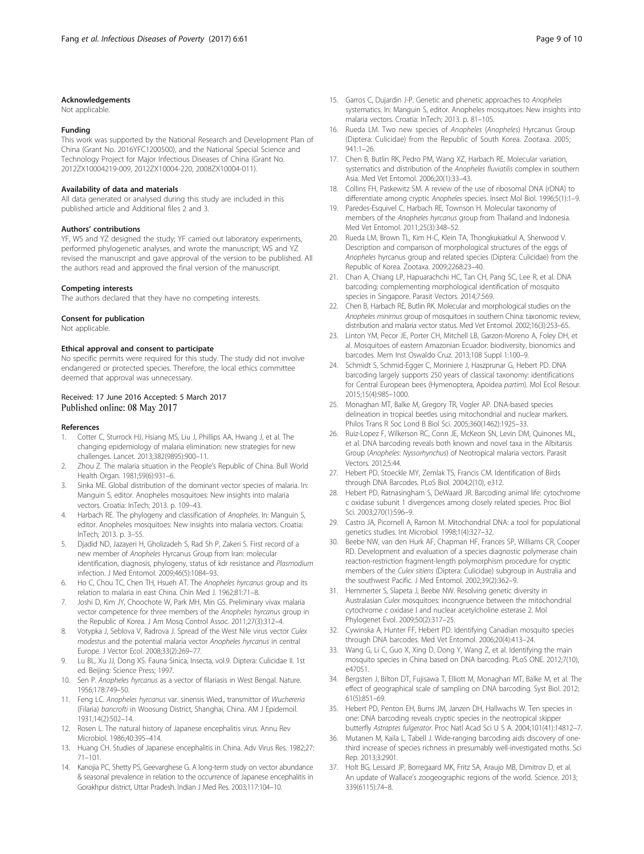## <span id="page-8-0"></span>Acknowledgements

Not applicable.

## Funding

This work was supported by the National Research and Development Plan of China (Grant No. 2016YFC1200500), and the National Special Science and Technology Project for Major Infectious Diseases of China (Grant No. 2012ZX10004219-009, 2012ZX10004-220, 2008ZX10004-011).

#### Availability of data and materials

All data generated or analysed during this study are included in this published article and Additional files [2](#page-7-0) and [3](#page-7-0).

#### Authors' contributions

YF, WS and YZ designed the study; YF carried out laboratory experiments, performed phylogenetic analyses, and wrote the manuscript; WS and YZ revised the manuscript and gave approval of the version to be published. All the authors read and approved the final version of the manuscript.

## Competing interests

The authors declared that they have no competing interests.

#### Consent for publication

Not applicable.

#### Ethical approval and consent to participate

No specific permits were required for this study. The study did not involve endangered or protected species. Therefore, the local ethics committee deemed that approval was unnecessary.

## Received: 17 June 2016 Accepted: 5 March 2017 Published online: 08 May 2017

#### References

- 1. Cotter C, Sturrock HJ, Hsiang MS, Liu J, Phillips AA, Hwang J, et al. The changing epidemiology of malaria elimination: new strategies for new challenges. Lancet. 2013;382(9895):900–11.
- 2. Zhou Z. The malaria situation in the People's Republic of China. Bull World Health Organ. 1981;59(6):931–6.
- 3. Sinka ME. Global distribution of the dominant vector species of malaria. In: Manguin S, editor. Anopheles mosquitoes: New insights into malaria vectors. Croatia: InTech; 2013. p. 109–43.
- 4. Harbach RE. The phylogeny and classification of Anopheles. In: Manguin S, editor. Anopheles mosquitoes: New insights into malaria vectors. Croatia: InTech; 2013. p. 3–55.
- 5. Djadid ND, Jazayeri H, Gholizadeh S, Rad Sh P, Zakeri S. First record of a new member of Anopheles Hyrcanus Group from Iran: molecular identification, diagnosis, phylogeny, status of kdr resistance and Plasmodium infection. J Med Entomol. 2009;46(5):1084–93.
- 6. Ho C, Chou TC, Chen TH, Hsueh AT. The Anopheles hyrcanus group and its relation to malaria in east China. Chin Med J. 1962;81:71–8.
- 7. Joshi D, Kim JY, Choochote W, Park MH, Min GS. Preliminary vivax malaria vector competence for three members of the Anopheles hyrcanus group in the Republic of Korea. J Am Mosq Control Assoc. 2011;27(3):312–4.
- 8. Votypka J, Seblova V, Radrova J. Spread of the West Nile virus vector Culex modestus and the potential malaria vector Anopheles hyrcanus in central Europe. J Vector Ecol. 2008;33(2):269–77.
- 9. Lu BL, Xu JJ, Dong XS. Fauna Sinica, Insecta, vol.9. Diptera: Culicidae II. 1st ed. Beijing: Science Press; 1997.
- 10. Sen P. Anopheles hyrcanus as a vector of filariasis in West Bengal. Nature. 1956;178:749–50.
- 11. Feng LC. Anopheles hyrcanus var. sinensis Wied., transmittor of Wuchereria (Filaria) bancrofti in Woosung District, Shanghai, China. AM J Epidemoil. 1931;14(2):502–14.
- 12. Rosen L. The natural history of Japanese encephalitis virus. Annu Rev Microbiol. 1986;40:395–414.
- 13. Huang CH. Studies of Japanese encephalitis in China. Adv Virus Res. 1982;27: 71–101.
- 14. Kanojia PC, Shetty PS, Geevarghese G. A long-term study on vector abundance & seasonal prevalence in relation to the occurrence of Japanese encephalitis in Gorakhpur district, Uttar Pradesh. Indian J Med Res. 2003;117:104–10.
- 15. Garros C, Dujardin J-P. Genetic and phenetic approaches to Anopheles systematics. In: Manguin S, editor. Anopheles mosquitoes: New insights into malaria vectors. Croatia: InTech; 2013. p. 81–105.
- 16. Rueda LM. Two new species of Anopheles (Anopheles) Hyrcanus Group (Diptera: Culicidae) from the Republic of South Korea. Zootaxa. 2005; 941:1–26.
- 17. Chen B, Butlin RK, Pedro PM, Wang XZ, Harbach RE. Molecular variation, systematics and distribution of the Anopheles fluviatilis complex in southern Asia. Med Vet Entomol. 2006;20(1):33–43.
- 18. Collins FH, Paskewitz SM. A review of the use of ribosomal DNA (rDNA) to differentiate among cryptic Anopheles species. Insect Mol Biol. 1996;5(1):1–9.
- 19. Paredes-Esquivel C, Harbach RE, Townson H. Molecular taxonomy of members of the Anopheles hyrcanus group from Thailand and Indonesia. Med Vet Entomol. 2011;25(3):348–52.
- 20. Rueda LM, Brown TL, Kim H-C, Klein TA, Thongkukiatkul A, Sherwood V. Description and comparison of morphological structures of the eggs of Anopheles hyrcanus group and related species (Diptera: Culicidae) from the Republic of Korea. Zootaxa. 2009;2268:23–40.
- 21. Chan A, Chiang LP, Hapuarachchi HC, Tan CH, Pang SC, Lee R, et al. DNA barcoding: complementing morphological identification of mosquito species in Singapore. Parasit Vectors. 2014;7:569.
- 22. Chen B, Harbach RE, Butlin RK. Molecular and morphological studies on the Anopheles minimus group of mosquitoes in southern China: taxonomic review, distribution and malaria vector status. Med Vet Entomol. 2002;16(3):253–65.
- 23. Linton YM, Pecor JE, Porter CH, Mitchell LB, Garzon-Moreno A, Foley DH, et al. Mosquitoes of eastern Amazonian Ecuador: biodiversity, bionomics and barcodes. Mem Inst Oswaldo Cruz. 2013;108 Suppl 1:100–9.
- 24. Schmidt S, Schmid-Egger C, Moriniere J, Haszprunar G, Hebert PD. DNA barcoding largely supports 250 years of classical taxonomy: identifications for Central European bees (Hymenoptera, Apoidea partim). Mol Ecol Resour. 2015;15(4):985–1000.
- 25. Monaghan MT, Balke M, Gregory TR, Vogler AP. DNA-based species delineation in tropical beetles using mitochondrial and nuclear markers. Philos Trans R Soc Lond B Biol Sci. 2005;360(1462):1925–33.
- 26. Ruiz-Lopez F, Wilkerson RC, Conn JE, McKeon SN, Levin DM, Quinones ML, et al. DNA barcoding reveals both known and novel taxa in the Albitarsis Group (Anopheles: Nyssorhynchus) of Neotropical malaria vectors. Parasit Vectors. 2012;5:44.
- 27. Hebert PD, Stoeckle MY, Zemlak TS, Francis CM. Identification of Birds through DNA Barcodes. PLoS Biol. 2004;2(10), e312.
- 28. Hebert PD, Ratnasingham S, DeWaard JR. Barcoding animal life: cytochrome c oxidase subunit 1 divergences among closely related species. Proc Biol Sci. 2003;270(1):S96–9.
- 29. Castro JA, Picornell A, Ramon M. Mitochondrial DNA: a tool for populational genetics studies. Int Microbiol. 1998;1(4):327–32.
- 30. Beebe NW, van den Hurk AF, Chapman HF, Frances SP, Williams CR, Cooper RD. Development and evaluation of a species diagnostic polymerase chain reaction-restriction fragment-length polymorphism procedure for cryptic members of the Culex sitiens (Diptera: Culicidae) subgroup in Australia and the southwest Pacific. J Med Entomol. 2002;39(2):362–9.
- 31. Hemmerter S, Slapeta J, Beebe NW. Resolving genetic diversity in Australasian Culex mosquitoes: incongruence between the mitochondrial cytochrome c oxidase I and nuclear acetylcholine esterase 2. Mol Phylogenet Evol. 2009;50(2):317–25.
- 32. Cywinska A, Hunter FF, Hebert PD. Identifying Canadian mosquito species through DNA barcodes. Med Vet Entomol. 2006;20(4):413–24.
- 33. Wang G, Li C, Guo X, Xing D, Dong Y, Wang Z, et al. Identifying the main mosquito species in China based on DNA barcoding. PLoS ONE. 2012;7(10), e47051.
- 34. Bergsten J, Bilton DT, Fujisawa T, Elliott M, Monaghan MT, Balke M, et al. The effect of geographical scale of sampling on DNA barcoding. Syst Biol. 2012; 61(5):851–69.
- 35. Hebert PD, Penton EH, Burns JM, Janzen DH, Hallwachs W. Ten species in one: DNA barcoding reveals cryptic species in the neotropical skipper butterfly Astraptes fulgerator. Proc Natl Acad Sci U S A. 2004;101(41):14812–7.
- 36. Mutanen M, Kaila L, Tabell J. Wide-ranging barcoding aids discovery of onethird increase of species richness in presumably well-investigated moths. Sci Rep. 2013;3:2901.
- 37. Holt BG, Lessard JP, Borregaard MK, Fritz SA, Araujo MB, Dimitrov D, et al. An update of Wallace's zoogeographic regions of the world. Science. 2013; 339(6115):74–8.